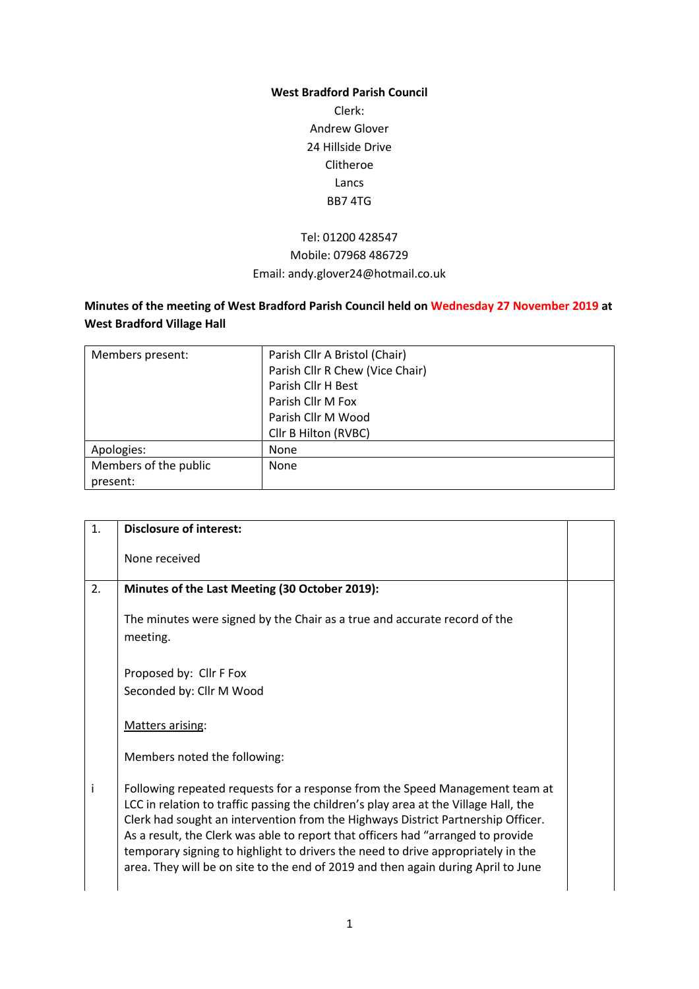## **West Bradford Parish Council**

Clerk: Andrew Glover 24 Hillside Drive Clitheroe Lancs BB7 4TG

## Tel: 01200 428547 Mobile: 07968 486729 Email: andy.glover24@hotmail.co.uk

## **Minutes of the meeting of West Bradford Parish Council held on Wednesday 27 November 2019 at West Bradford Village Hall**

| Members present:      | Parish Cllr A Bristol (Chair)   |
|-----------------------|---------------------------------|
|                       | Parish Cllr R Chew (Vice Chair) |
|                       | Parish Cllr H Best              |
|                       | Parish Cllr M Fox               |
|                       | Parish Cllr M Wood              |
|                       | Cllr B Hilton (RVBC)            |
| Apologies:            | None                            |
| Members of the public | None                            |
| present:              |                                 |

| 1. | <b>Disclosure of interest:</b>                                                                                                                                                                                                                                                                                                                                                                                                                                                                                        |  |
|----|-----------------------------------------------------------------------------------------------------------------------------------------------------------------------------------------------------------------------------------------------------------------------------------------------------------------------------------------------------------------------------------------------------------------------------------------------------------------------------------------------------------------------|--|
|    | None received                                                                                                                                                                                                                                                                                                                                                                                                                                                                                                         |  |
| 2. | Minutes of the Last Meeting (30 October 2019):                                                                                                                                                                                                                                                                                                                                                                                                                                                                        |  |
|    | The minutes were signed by the Chair as a true and accurate record of the<br>meeting.                                                                                                                                                                                                                                                                                                                                                                                                                                 |  |
|    | Proposed by: Cllr F Fox                                                                                                                                                                                                                                                                                                                                                                                                                                                                                               |  |
|    | Seconded by: Cllr M Wood                                                                                                                                                                                                                                                                                                                                                                                                                                                                                              |  |
|    | Matters arising:                                                                                                                                                                                                                                                                                                                                                                                                                                                                                                      |  |
|    | Members noted the following:                                                                                                                                                                                                                                                                                                                                                                                                                                                                                          |  |
| i  | Following repeated requests for a response from the Speed Management team at<br>LCC in relation to traffic passing the children's play area at the Village Hall, the<br>Clerk had sought an intervention from the Highways District Partnership Officer.<br>As a result, the Clerk was able to report that officers had "arranged to provide<br>temporary signing to highlight to drivers the need to drive appropriately in the<br>area. They will be on site to the end of 2019 and then again during April to June |  |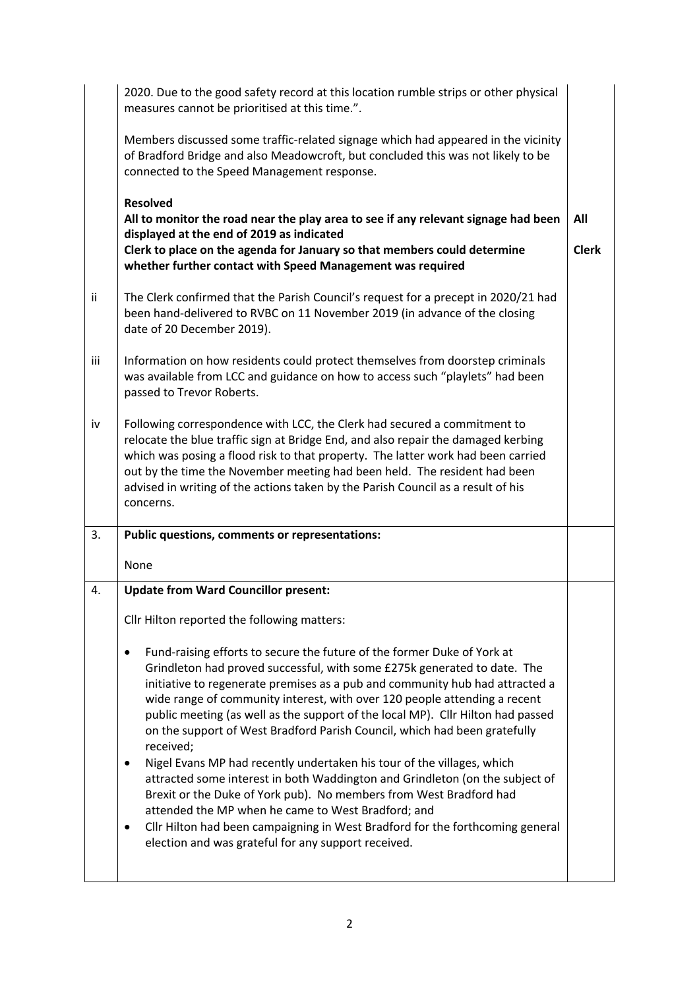|     | 2020. Due to the good safety record at this location rumble strips or other physical<br>measures cannot be prioritised at this time.".                                                                                                                                                                                                                                                                                                                                                                                                                                                                                                                                                                                                                                                                                                                                                                                                |                     |
|-----|---------------------------------------------------------------------------------------------------------------------------------------------------------------------------------------------------------------------------------------------------------------------------------------------------------------------------------------------------------------------------------------------------------------------------------------------------------------------------------------------------------------------------------------------------------------------------------------------------------------------------------------------------------------------------------------------------------------------------------------------------------------------------------------------------------------------------------------------------------------------------------------------------------------------------------------|---------------------|
|     | Members discussed some traffic-related signage which had appeared in the vicinity<br>of Bradford Bridge and also Meadowcroft, but concluded this was not likely to be<br>connected to the Speed Management response.                                                                                                                                                                                                                                                                                                                                                                                                                                                                                                                                                                                                                                                                                                                  |                     |
|     | <b>Resolved</b><br>All to monitor the road near the play area to see if any relevant signage had been<br>displayed at the end of 2019 as indicated<br>Clerk to place on the agenda for January so that members could determine<br>whether further contact with Speed Management was required                                                                                                                                                                                                                                                                                                                                                                                                                                                                                                                                                                                                                                          | All<br><b>Clerk</b> |
| ii. | The Clerk confirmed that the Parish Council's request for a precept in 2020/21 had<br>been hand-delivered to RVBC on 11 November 2019 (in advance of the closing<br>date of 20 December 2019).                                                                                                                                                                                                                                                                                                                                                                                                                                                                                                                                                                                                                                                                                                                                        |                     |
| iii | Information on how residents could protect themselves from doorstep criminals<br>was available from LCC and guidance on how to access such "playlets" had been<br>passed to Trevor Roberts.                                                                                                                                                                                                                                                                                                                                                                                                                                                                                                                                                                                                                                                                                                                                           |                     |
| iv  | Following correspondence with LCC, the Clerk had secured a commitment to<br>relocate the blue traffic sign at Bridge End, and also repair the damaged kerbing<br>which was posing a flood risk to that property. The latter work had been carried<br>out by the time the November meeting had been held. The resident had been<br>advised in writing of the actions taken by the Parish Council as a result of his<br>concerns.                                                                                                                                                                                                                                                                                                                                                                                                                                                                                                       |                     |
| 3.  | Public questions, comments or representations:                                                                                                                                                                                                                                                                                                                                                                                                                                                                                                                                                                                                                                                                                                                                                                                                                                                                                        |                     |
|     | None                                                                                                                                                                                                                                                                                                                                                                                                                                                                                                                                                                                                                                                                                                                                                                                                                                                                                                                                  |                     |
| 4.  | <b>Update from Ward Councillor present:</b>                                                                                                                                                                                                                                                                                                                                                                                                                                                                                                                                                                                                                                                                                                                                                                                                                                                                                           |                     |
|     | Cllr Hilton reported the following matters:                                                                                                                                                                                                                                                                                                                                                                                                                                                                                                                                                                                                                                                                                                                                                                                                                                                                                           |                     |
|     | Fund-raising efforts to secure the future of the former Duke of York at<br>Grindleton had proved successful, with some £275k generated to date. The<br>initiative to regenerate premises as a pub and community hub had attracted a<br>wide range of community interest, with over 120 people attending a recent<br>public meeting (as well as the support of the local MP). Cllr Hilton had passed<br>on the support of West Bradford Parish Council, which had been gratefully<br>received;<br>Nigel Evans MP had recently undertaken his tour of the villages, which<br>٠<br>attracted some interest in both Waddington and Grindleton (on the subject of<br>Brexit or the Duke of York pub). No members from West Bradford had<br>attended the MP when he came to West Bradford; and<br>Cllr Hilton had been campaigning in West Bradford for the forthcoming general<br>٠<br>election and was grateful for any support received. |                     |
|     |                                                                                                                                                                                                                                                                                                                                                                                                                                                                                                                                                                                                                                                                                                                                                                                                                                                                                                                                       |                     |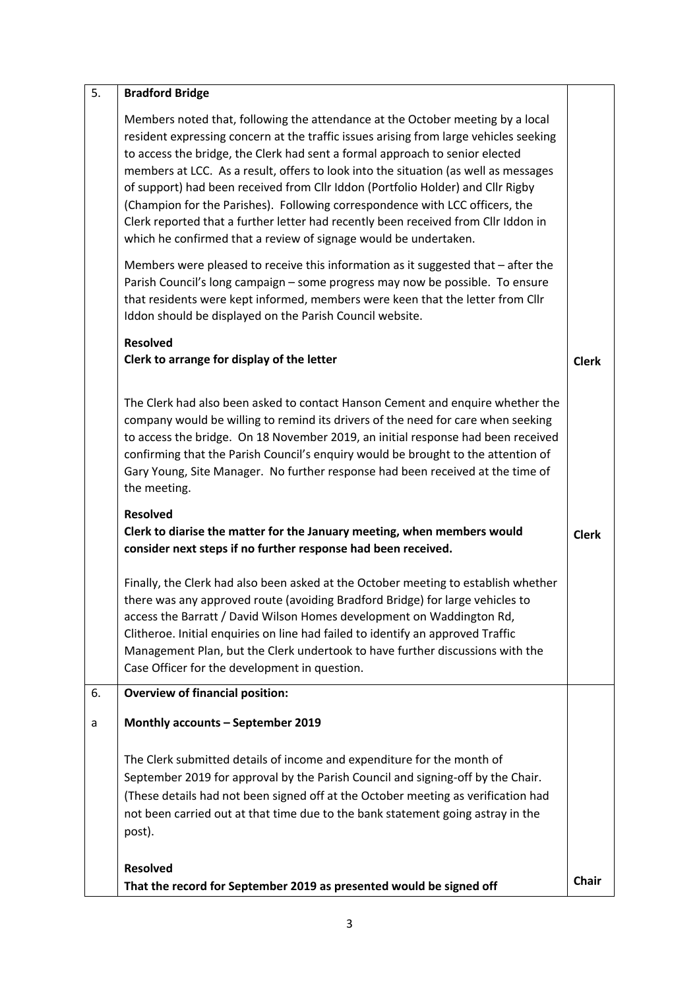| 5. | <b>Bradford Bridge</b>                                                                                                                                                                                                                                                                                                                                                                                                                                                                                                                                                                                                                                                      |              |
|----|-----------------------------------------------------------------------------------------------------------------------------------------------------------------------------------------------------------------------------------------------------------------------------------------------------------------------------------------------------------------------------------------------------------------------------------------------------------------------------------------------------------------------------------------------------------------------------------------------------------------------------------------------------------------------------|--------------|
|    | Members noted that, following the attendance at the October meeting by a local<br>resident expressing concern at the traffic issues arising from large vehicles seeking<br>to access the bridge, the Clerk had sent a formal approach to senior elected<br>members at LCC. As a result, offers to look into the situation (as well as messages<br>of support) had been received from Cllr Iddon (Portfolio Holder) and Cllr Rigby<br>(Champion for the Parishes). Following correspondence with LCC officers, the<br>Clerk reported that a further letter had recently been received from Cllr Iddon in<br>which he confirmed that a review of signage would be undertaken. |              |
|    | Members were pleased to receive this information as it suggested that $-$ after the<br>Parish Council's long campaign - some progress may now be possible. To ensure<br>that residents were kept informed, members were keen that the letter from Cllr<br>Iddon should be displayed on the Parish Council website.                                                                                                                                                                                                                                                                                                                                                          |              |
|    | <b>Resolved</b><br>Clerk to arrange for display of the letter                                                                                                                                                                                                                                                                                                                                                                                                                                                                                                                                                                                                               | <b>Clerk</b> |
|    | The Clerk had also been asked to contact Hanson Cement and enquire whether the<br>company would be willing to remind its drivers of the need for care when seeking<br>to access the bridge. On 18 November 2019, an initial response had been received<br>confirming that the Parish Council's enquiry would be brought to the attention of<br>Gary Young, Site Manager. No further response had been received at the time of<br>the meeting.                                                                                                                                                                                                                               |              |
|    | <b>Resolved</b><br>Clerk to diarise the matter for the January meeting, when members would<br>consider next steps if no further response had been received.                                                                                                                                                                                                                                                                                                                                                                                                                                                                                                                 | <b>Clerk</b> |
|    | Finally, the Clerk had also been asked at the October meeting to establish whether<br>there was any approved route (avoiding Bradford Bridge) for large vehicles to<br>access the Barratt / David Wilson Homes development on Waddington Rd,<br>Clitheroe. Initial enquiries on line had failed to identify an approved Traffic<br>Management Plan, but the Clerk undertook to have further discussions with the<br>Case Officer for the development in question.                                                                                                                                                                                                           |              |
| 6. | <b>Overview of financial position:</b>                                                                                                                                                                                                                                                                                                                                                                                                                                                                                                                                                                                                                                      |              |
| a  | Monthly accounts - September 2019                                                                                                                                                                                                                                                                                                                                                                                                                                                                                                                                                                                                                                           |              |
|    | The Clerk submitted details of income and expenditure for the month of<br>September 2019 for approval by the Parish Council and signing-off by the Chair.<br>(These details had not been signed off at the October meeting as verification had<br>not been carried out at that time due to the bank statement going astray in the<br>post).                                                                                                                                                                                                                                                                                                                                 |              |
|    | <b>Resolved</b><br>That the record for September 2019 as presented would be signed off                                                                                                                                                                                                                                                                                                                                                                                                                                                                                                                                                                                      | <b>Chair</b> |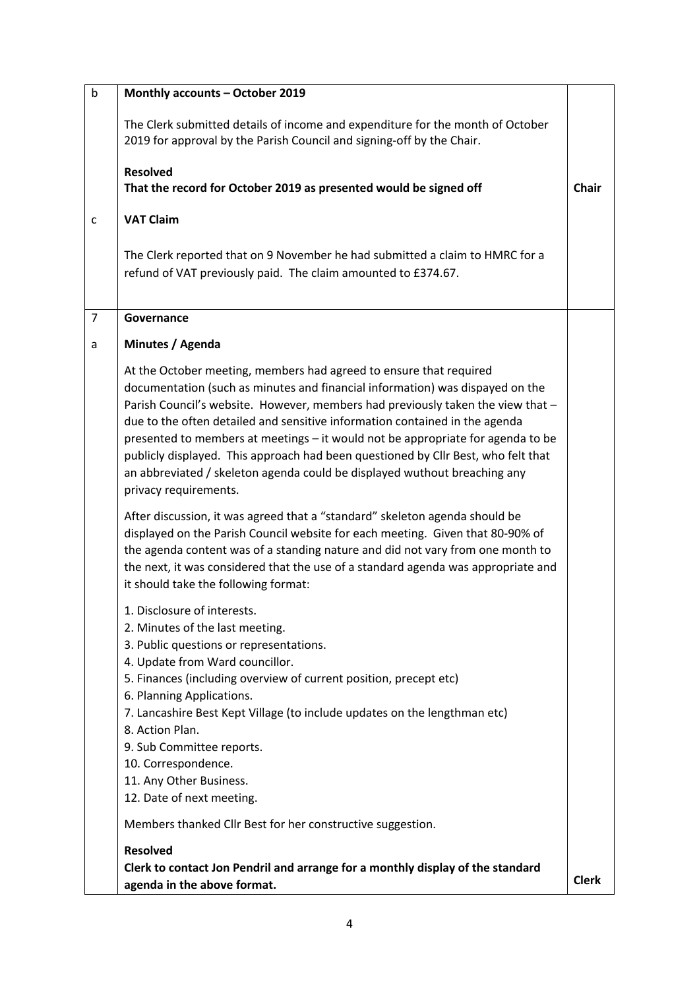| b              | Monthly accounts - October 2019                                                                                                                                                                                                                                                                                                                                                                                                                                                                                                                                                                     |              |
|----------------|-----------------------------------------------------------------------------------------------------------------------------------------------------------------------------------------------------------------------------------------------------------------------------------------------------------------------------------------------------------------------------------------------------------------------------------------------------------------------------------------------------------------------------------------------------------------------------------------------------|--------------|
|                | The Clerk submitted details of income and expenditure for the month of October<br>2019 for approval by the Parish Council and signing-off by the Chair.                                                                                                                                                                                                                                                                                                                                                                                                                                             |              |
|                | <b>Resolved</b><br>That the record for October 2019 as presented would be signed off                                                                                                                                                                                                                                                                                                                                                                                                                                                                                                                | <b>Chair</b> |
| $\mathsf{C}$   | <b>VAT Claim</b>                                                                                                                                                                                                                                                                                                                                                                                                                                                                                                                                                                                    |              |
|                | The Clerk reported that on 9 November he had submitted a claim to HMRC for a<br>refund of VAT previously paid. The claim amounted to £374.67.                                                                                                                                                                                                                                                                                                                                                                                                                                                       |              |
| $\overline{7}$ | Governance                                                                                                                                                                                                                                                                                                                                                                                                                                                                                                                                                                                          |              |
| a              | Minutes / Agenda                                                                                                                                                                                                                                                                                                                                                                                                                                                                                                                                                                                    |              |
|                | At the October meeting, members had agreed to ensure that required<br>documentation (such as minutes and financial information) was dispayed on the<br>Parish Council's website. However, members had previously taken the view that -<br>due to the often detailed and sensitive information contained in the agenda<br>presented to members at meetings - it would not be appropriate for agenda to be<br>publicly displayed. This approach had been questioned by Cllr Best, who felt that<br>an abbreviated / skeleton agenda could be displayed wuthout breaching any<br>privacy requirements. |              |
|                | After discussion, it was agreed that a "standard" skeleton agenda should be<br>displayed on the Parish Council website for each meeting. Given that 80-90% of<br>the agenda content was of a standing nature and did not vary from one month to<br>the next, it was considered that the use of a standard agenda was appropriate and<br>it should take the following format:                                                                                                                                                                                                                        |              |
|                | 1. Disclosure of interests.<br>2. Minutes of the last meeting.<br>3. Public questions or representations.<br>4. Update from Ward councillor.<br>5. Finances (including overview of current position, precept etc)<br>6. Planning Applications.<br>7. Lancashire Best Kept Village (to include updates on the lengthman etc)<br>8. Action Plan.<br>9. Sub Committee reports.<br>10. Correspondence.<br>11. Any Other Business.<br>12. Date of next meeting.                                                                                                                                          |              |
|                | Members thanked Cllr Best for her constructive suggestion.                                                                                                                                                                                                                                                                                                                                                                                                                                                                                                                                          |              |
|                | <b>Resolved</b><br>Clerk to contact Jon Pendril and arrange for a monthly display of the standard                                                                                                                                                                                                                                                                                                                                                                                                                                                                                                   |              |
|                | agenda in the above format.                                                                                                                                                                                                                                                                                                                                                                                                                                                                                                                                                                         | <b>Clerk</b> |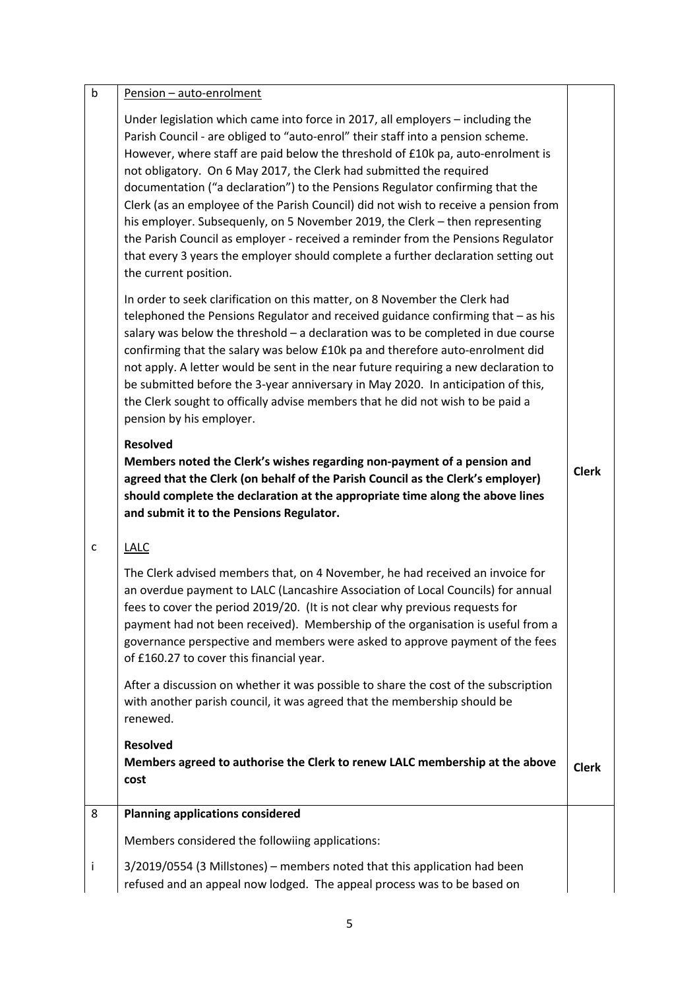| $\mathsf b$ | Pension - auto-enrolment                                                                                                                                                                                                                                                                                                                                                                                                                                                                                                                                                                                                                                                                                                                                                              |              |
|-------------|---------------------------------------------------------------------------------------------------------------------------------------------------------------------------------------------------------------------------------------------------------------------------------------------------------------------------------------------------------------------------------------------------------------------------------------------------------------------------------------------------------------------------------------------------------------------------------------------------------------------------------------------------------------------------------------------------------------------------------------------------------------------------------------|--------------|
|             | Under legislation which came into force in 2017, all employers - including the<br>Parish Council - are obliged to "auto-enrol" their staff into a pension scheme.<br>However, where staff are paid below the threshold of £10k pa, auto-enrolment is<br>not obligatory. On 6 May 2017, the Clerk had submitted the required<br>documentation ("a declaration") to the Pensions Regulator confirming that the<br>Clerk (as an employee of the Parish Council) did not wish to receive a pension from<br>his employer. Subsequenly, on 5 November 2019, the Clerk - then representing<br>the Parish Council as employer - received a reminder from the Pensions Regulator<br>that every 3 years the employer should complete a further declaration setting out<br>the current position. |              |
|             | In order to seek clarification on this matter, on 8 November the Clerk had<br>telephoned the Pensions Regulator and received guidance confirming that - as his<br>salary was below the threshold $-$ a declaration was to be completed in due course<br>confirming that the salary was below £10k pa and therefore auto-enrolment did<br>not apply. A letter would be sent in the near future requiring a new declaration to<br>be submitted before the 3-year anniversary in May 2020. In anticipation of this,<br>the Clerk sought to offically advise members that he did not wish to be paid a<br>pension by his employer.                                                                                                                                                        |              |
|             | <b>Resolved</b><br>Members noted the Clerk's wishes regarding non-payment of a pension and<br>agreed that the Clerk (on behalf of the Parish Council as the Clerk's employer)<br>should complete the declaration at the appropriate time along the above lines<br>and submit it to the Pensions Regulator.                                                                                                                                                                                                                                                                                                                                                                                                                                                                            | <b>Clerk</b> |
| c           | <b>LALC</b>                                                                                                                                                                                                                                                                                                                                                                                                                                                                                                                                                                                                                                                                                                                                                                           |              |
|             | The Clerk advised members that, on 4 November, he had received an invoice for<br>an overdue payment to LALC (Lancashire Association of Local Councils) for annual<br>fees to cover the period 2019/20. (It is not clear why previous requests for<br>payment had not been received). Membership of the organisation is useful from a<br>governance perspective and members were asked to approve payment of the fees<br>of £160.27 to cover this financial year.                                                                                                                                                                                                                                                                                                                      |              |
|             | After a discussion on whether it was possible to share the cost of the subscription<br>with another parish council, it was agreed that the membership should be<br>renewed.                                                                                                                                                                                                                                                                                                                                                                                                                                                                                                                                                                                                           |              |
|             | <b>Resolved</b><br>Members agreed to authorise the Clerk to renew LALC membership at the above<br>cost                                                                                                                                                                                                                                                                                                                                                                                                                                                                                                                                                                                                                                                                                | <b>Clerk</b> |
| 8           | <b>Planning applications considered</b>                                                                                                                                                                                                                                                                                                                                                                                                                                                                                                                                                                                                                                                                                                                                               |              |
|             | Members considered the followiing applications:                                                                                                                                                                                                                                                                                                                                                                                                                                                                                                                                                                                                                                                                                                                                       |              |
| j           | 3/2019/0554 (3 Millstones) - members noted that this application had been<br>refused and an appeal now lodged. The appeal process was to be based on                                                                                                                                                                                                                                                                                                                                                                                                                                                                                                                                                                                                                                  |              |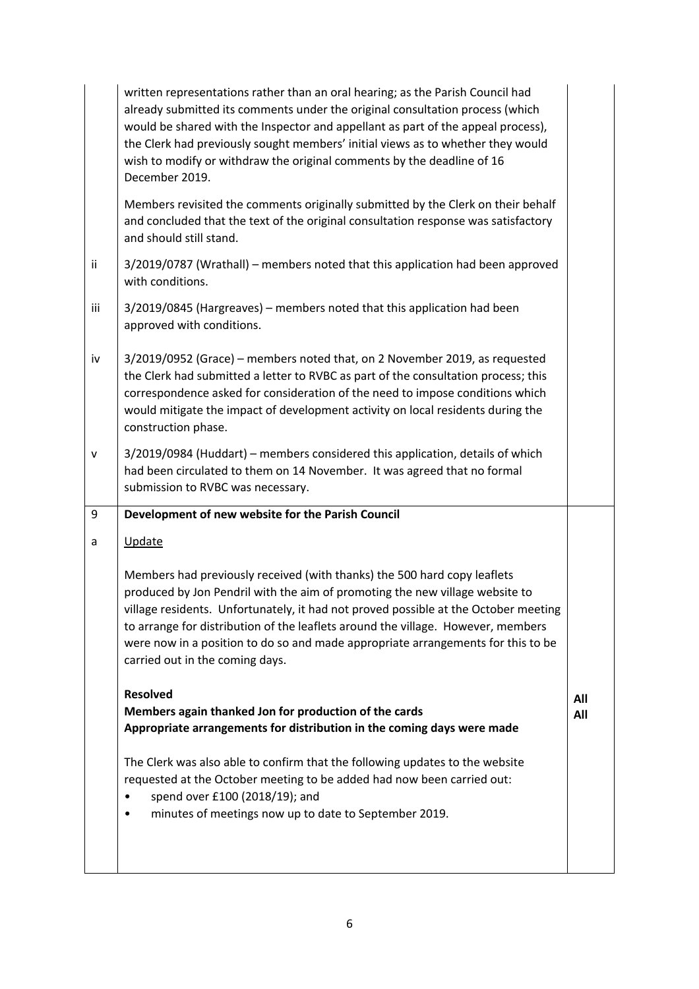|     | written representations rather than an oral hearing; as the Parish Council had<br>already submitted its comments under the original consultation process (which<br>would be shared with the Inspector and appellant as part of the appeal process),<br>the Clerk had previously sought members' initial views as to whether they would<br>wish to modify or withdraw the original comments by the deadline of 16<br>December 2019.                         |     |
|-----|------------------------------------------------------------------------------------------------------------------------------------------------------------------------------------------------------------------------------------------------------------------------------------------------------------------------------------------------------------------------------------------------------------------------------------------------------------|-----|
|     | Members revisited the comments originally submitted by the Clerk on their behalf<br>and concluded that the text of the original consultation response was satisfactory<br>and should still stand.                                                                                                                                                                                                                                                          |     |
| ii  | 3/2019/0787 (Wrathall) – members noted that this application had been approved<br>with conditions.                                                                                                                                                                                                                                                                                                                                                         |     |
| iii | 3/2019/0845 (Hargreaves) - members noted that this application had been<br>approved with conditions.                                                                                                                                                                                                                                                                                                                                                       |     |
| iv  | 3/2019/0952 (Grace) - members noted that, on 2 November 2019, as requested<br>the Clerk had submitted a letter to RVBC as part of the consultation process; this<br>correspondence asked for consideration of the need to impose conditions which<br>would mitigate the impact of development activity on local residents during the<br>construction phase.                                                                                                |     |
| v   | 3/2019/0984 (Huddart) - members considered this application, details of which<br>had been circulated to them on 14 November. It was agreed that no formal<br>submission to RVBC was necessary.                                                                                                                                                                                                                                                             |     |
|     |                                                                                                                                                                                                                                                                                                                                                                                                                                                            |     |
| 9   | Development of new website for the Parish Council                                                                                                                                                                                                                                                                                                                                                                                                          |     |
| a   | Update                                                                                                                                                                                                                                                                                                                                                                                                                                                     |     |
|     | Members had previously received (with thanks) the 500 hard copy leaflets<br>produced by Jon Pendril with the aim of promoting the new village website to<br>village residents. Unfortunately, it had not proved possible at the October meeting<br>to arrange for distribution of the leaflets around the village. However, members<br>were now in a position to do so and made appropriate arrangements for this to be<br>carried out in the coming days. |     |
|     | <b>Resolved</b>                                                                                                                                                                                                                                                                                                                                                                                                                                            | All |
|     | Members again thanked Jon for production of the cards<br>Appropriate arrangements for distribution in the coming days were made                                                                                                                                                                                                                                                                                                                            | All |
|     | The Clerk was also able to confirm that the following updates to the website<br>requested at the October meeting to be added had now been carried out:<br>spend over £100 (2018/19); and<br>minutes of meetings now up to date to September 2019.                                                                                                                                                                                                          |     |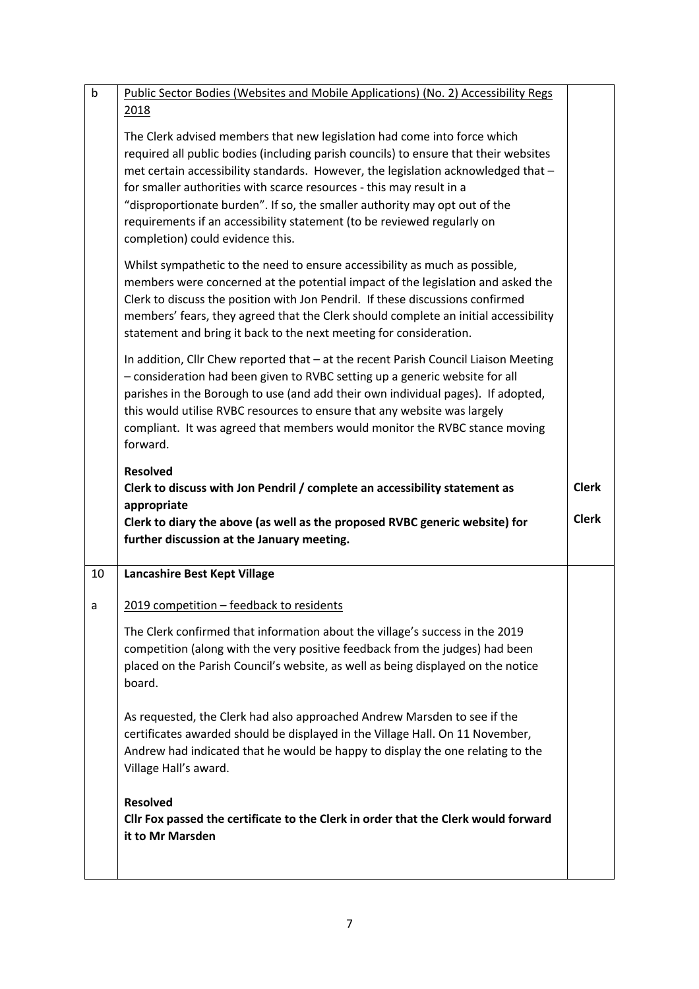| $\mathsf b$ | <b>Public Sector Bodies (Websites and Mobile Applications) (No. 2) Accessibility Regs</b>                                                                                                                                                                                                                                                                                                                                                                                                                                  |              |
|-------------|----------------------------------------------------------------------------------------------------------------------------------------------------------------------------------------------------------------------------------------------------------------------------------------------------------------------------------------------------------------------------------------------------------------------------------------------------------------------------------------------------------------------------|--------------|
|             | 2018                                                                                                                                                                                                                                                                                                                                                                                                                                                                                                                       |              |
|             | The Clerk advised members that new legislation had come into force which<br>required all public bodies (including parish councils) to ensure that their websites<br>met certain accessibility standards. However, the legislation acknowledged that -<br>for smaller authorities with scarce resources - this may result in a<br>"disproportionate burden". If so, the smaller authority may opt out of the<br>requirements if an accessibility statement (to be reviewed regularly on<br>completion) could evidence this. |              |
|             | Whilst sympathetic to the need to ensure accessibility as much as possible,<br>members were concerned at the potential impact of the legislation and asked the<br>Clerk to discuss the position with Jon Pendril. If these discussions confirmed<br>members' fears, they agreed that the Clerk should complete an initial accessibility<br>statement and bring it back to the next meeting for consideration.                                                                                                              |              |
|             | In addition, Cllr Chew reported that - at the recent Parish Council Liaison Meeting<br>- consideration had been given to RVBC setting up a generic website for all<br>parishes in the Borough to use (and add their own individual pages). If adopted,<br>this would utilise RVBC resources to ensure that any website was largely<br>compliant. It was agreed that members would monitor the RVBC stance moving<br>forward.                                                                                               |              |
|             | <b>Resolved</b>                                                                                                                                                                                                                                                                                                                                                                                                                                                                                                            |              |
|             |                                                                                                                                                                                                                                                                                                                                                                                                                                                                                                                            |              |
|             | Clerk to discuss with Jon Pendril / complete an accessibility statement as                                                                                                                                                                                                                                                                                                                                                                                                                                                 | <b>Clerk</b> |
|             | appropriate<br>Clerk to diary the above (as well as the proposed RVBC generic website) for<br>further discussion at the January meeting.                                                                                                                                                                                                                                                                                                                                                                                   | <b>Clerk</b> |
| 10          | Lancashire Best Kept Village                                                                                                                                                                                                                                                                                                                                                                                                                                                                                               |              |
| a           | 2019 competition - feedback to residents                                                                                                                                                                                                                                                                                                                                                                                                                                                                                   |              |
|             | The Clerk confirmed that information about the village's success in the 2019<br>competition (along with the very positive feedback from the judges) had been<br>placed on the Parish Council's website, as well as being displayed on the notice<br>board.                                                                                                                                                                                                                                                                 |              |
|             | As requested, the Clerk had also approached Andrew Marsden to see if the<br>certificates awarded should be displayed in the Village Hall. On 11 November,<br>Andrew had indicated that he would be happy to display the one relating to the<br>Village Hall's award.                                                                                                                                                                                                                                                       |              |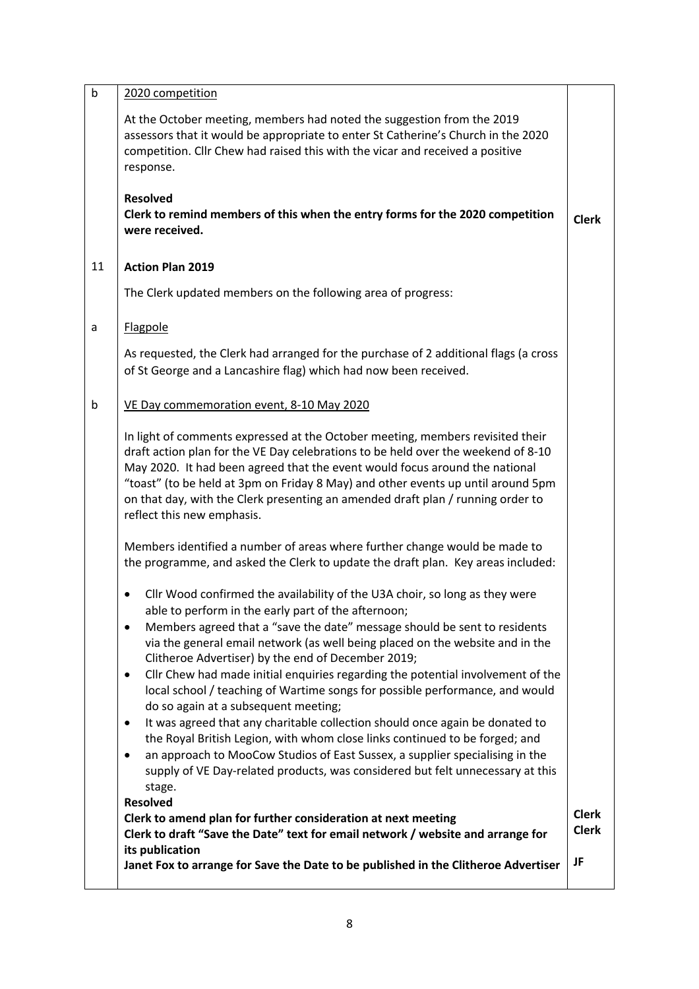| $\mathsf b$ | 2020 competition                                                                                                                                                                                                                                                                                                                                                                                                                                                                                                                                                                                                                                                                                                                                                                                                                                                                                                                                                         |                              |
|-------------|--------------------------------------------------------------------------------------------------------------------------------------------------------------------------------------------------------------------------------------------------------------------------------------------------------------------------------------------------------------------------------------------------------------------------------------------------------------------------------------------------------------------------------------------------------------------------------------------------------------------------------------------------------------------------------------------------------------------------------------------------------------------------------------------------------------------------------------------------------------------------------------------------------------------------------------------------------------------------|------------------------------|
|             | At the October meeting, members had noted the suggestion from the 2019<br>assessors that it would be appropriate to enter St Catherine's Church in the 2020<br>competition. Cllr Chew had raised this with the vicar and received a positive<br>response.                                                                                                                                                                                                                                                                                                                                                                                                                                                                                                                                                                                                                                                                                                                |                              |
|             | <b>Resolved</b><br>Clerk to remind members of this when the entry forms for the 2020 competition<br>were received.                                                                                                                                                                                                                                                                                                                                                                                                                                                                                                                                                                                                                                                                                                                                                                                                                                                       | <b>Clerk</b>                 |
| 11          | <b>Action Plan 2019</b>                                                                                                                                                                                                                                                                                                                                                                                                                                                                                                                                                                                                                                                                                                                                                                                                                                                                                                                                                  |                              |
|             | The Clerk updated members on the following area of progress:                                                                                                                                                                                                                                                                                                                                                                                                                                                                                                                                                                                                                                                                                                                                                                                                                                                                                                             |                              |
| a           | Flagpole                                                                                                                                                                                                                                                                                                                                                                                                                                                                                                                                                                                                                                                                                                                                                                                                                                                                                                                                                                 |                              |
|             | As requested, the Clerk had arranged for the purchase of 2 additional flags (a cross<br>of St George and a Lancashire flag) which had now been received.                                                                                                                                                                                                                                                                                                                                                                                                                                                                                                                                                                                                                                                                                                                                                                                                                 |                              |
| b           | VE Day commemoration event, 8-10 May 2020                                                                                                                                                                                                                                                                                                                                                                                                                                                                                                                                                                                                                                                                                                                                                                                                                                                                                                                                |                              |
|             | In light of comments expressed at the October meeting, members revisited their<br>draft action plan for the VE Day celebrations to be held over the weekend of 8-10<br>May 2020. It had been agreed that the event would focus around the national<br>"toast" (to be held at 3pm on Friday 8 May) and other events up until around 5pm<br>on that day, with the Clerk presenting an amended draft plan / running order to<br>reflect this new emphasis.                                                                                                                                                                                                                                                                                                                                                                                                                                                                                                                  |                              |
|             | Members identified a number of areas where further change would be made to<br>the programme, and asked the Clerk to update the draft plan. Key areas included:                                                                                                                                                                                                                                                                                                                                                                                                                                                                                                                                                                                                                                                                                                                                                                                                           |                              |
|             | Cllr Wood confirmed the availability of the U3A choir, so long as they were<br>٠<br>able to perform in the early part of the afternoon;<br>Members agreed that a "save the date" message should be sent to residents<br>٠<br>via the general email network (as well being placed on the website and in the<br>Clitheroe Advertiser) by the end of December 2019;<br>Cllr Chew had made initial enquiries regarding the potential involvement of the<br>$\bullet$<br>local school / teaching of Wartime songs for possible performance, and would<br>do so again at a subsequent meeting;<br>It was agreed that any charitable collection should once again be donated to<br>$\bullet$<br>the Royal British Legion, with whom close links continued to be forged; and<br>an approach to MooCow Studios of East Sussex, a supplier specialising in the<br>٠<br>supply of VE Day-related products, was considered but felt unnecessary at this<br>stage.<br><b>Resolved</b> |                              |
|             | Clerk to amend plan for further consideration at next meeting<br>Clerk to draft "Save the Date" text for email network / website and arrange for                                                                                                                                                                                                                                                                                                                                                                                                                                                                                                                                                                                                                                                                                                                                                                                                                         | <b>Clerk</b><br><b>Clerk</b> |
|             | its publication<br>Janet Fox to arrange for Save the Date to be published in the Clitheroe Advertiser                                                                                                                                                                                                                                                                                                                                                                                                                                                                                                                                                                                                                                                                                                                                                                                                                                                                    | JF                           |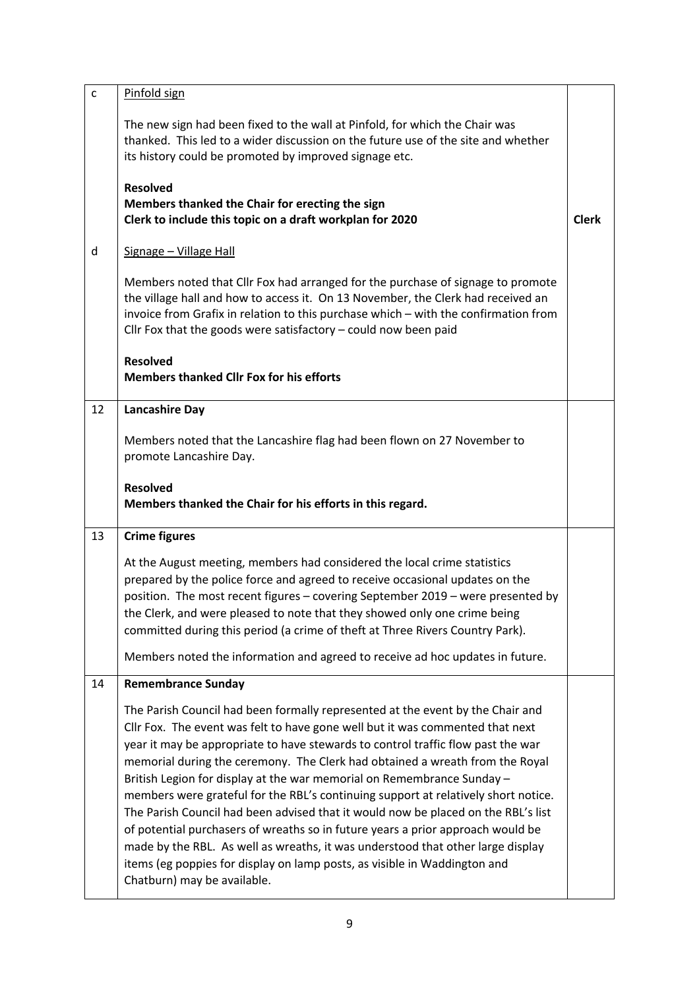| $\mathsf{C}$ | Pinfold sign                                                                                                                                                                                                                                                                                                                                                                                              |              |
|--------------|-----------------------------------------------------------------------------------------------------------------------------------------------------------------------------------------------------------------------------------------------------------------------------------------------------------------------------------------------------------------------------------------------------------|--------------|
|              | The new sign had been fixed to the wall at Pinfold, for which the Chair was<br>thanked. This led to a wider discussion on the future use of the site and whether<br>its history could be promoted by improved signage etc.                                                                                                                                                                                |              |
|              | <b>Resolved</b><br>Members thanked the Chair for erecting the sign<br>Clerk to include this topic on a draft workplan for 2020                                                                                                                                                                                                                                                                            | <b>Clerk</b> |
| d            | Signage - Village Hall                                                                                                                                                                                                                                                                                                                                                                                    |              |
|              | Members noted that Cllr Fox had arranged for the purchase of signage to promote<br>the village hall and how to access it. On 13 November, the Clerk had received an<br>invoice from Grafix in relation to this purchase which - with the confirmation from<br>Cllr Fox that the goods were satisfactory $-$ could now been paid                                                                           |              |
|              | <b>Resolved</b><br><b>Members thanked Cllr Fox for his efforts</b>                                                                                                                                                                                                                                                                                                                                        |              |
| 12           | <b>Lancashire Day</b>                                                                                                                                                                                                                                                                                                                                                                                     |              |
|              | Members noted that the Lancashire flag had been flown on 27 November to<br>promote Lancashire Day.                                                                                                                                                                                                                                                                                                        |              |
|              | <b>Resolved</b><br>Members thanked the Chair for his efforts in this regard.                                                                                                                                                                                                                                                                                                                              |              |
| 13           | <b>Crime figures</b>                                                                                                                                                                                                                                                                                                                                                                                      |              |
|              | At the August meeting, members had considered the local crime statistics<br>prepared by the police force and agreed to receive occasional updates on the<br>position. The most recent figures - covering September 2019 - were presented by<br>the Clerk, and were pleased to note that they showed only one crime being<br>committed during this period (a crime of theft at Three Rivers Country Park). |              |
|              | Members noted the information and agreed to receive ad hoc updates in future.                                                                                                                                                                                                                                                                                                                             |              |
| 14           | <b>Remembrance Sunday</b>                                                                                                                                                                                                                                                                                                                                                                                 |              |
|              |                                                                                                                                                                                                                                                                                                                                                                                                           |              |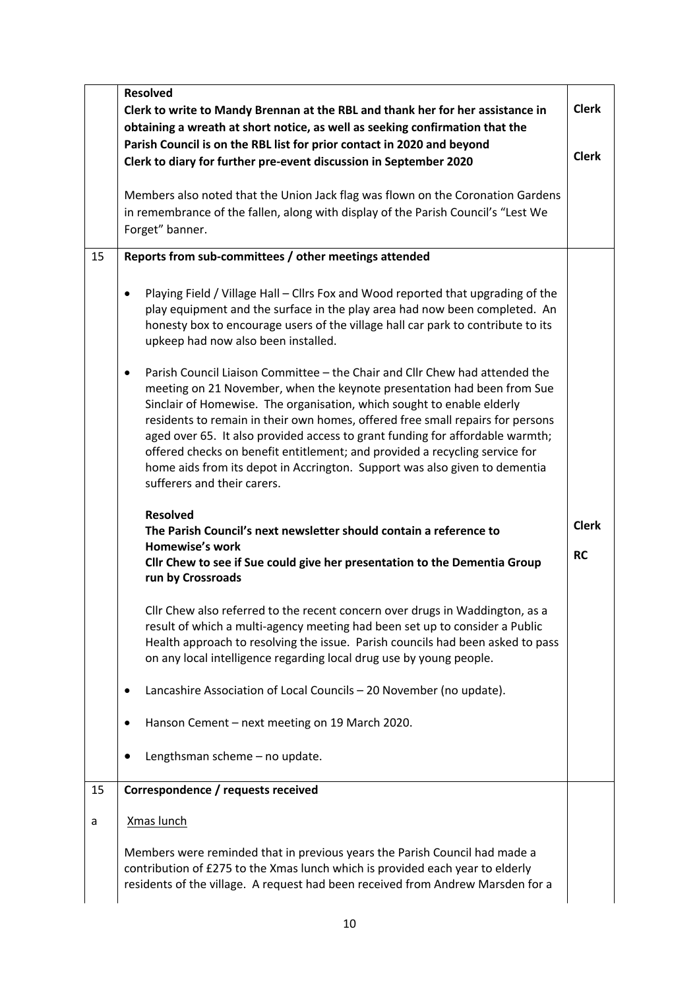|    | <b>Resolved</b>                                                                                                                                                                                                                                                                                                                                                                                                                                                                                                                                                                                              |                           |
|----|--------------------------------------------------------------------------------------------------------------------------------------------------------------------------------------------------------------------------------------------------------------------------------------------------------------------------------------------------------------------------------------------------------------------------------------------------------------------------------------------------------------------------------------------------------------------------------------------------------------|---------------------------|
|    | Clerk to write to Mandy Brennan at the RBL and thank her for her assistance in                                                                                                                                                                                                                                                                                                                                                                                                                                                                                                                               | <b>Clerk</b>              |
|    | obtaining a wreath at short notice, as well as seeking confirmation that the<br>Parish Council is on the RBL list for prior contact in 2020 and beyond<br>Clerk to diary for further pre-event discussion in September 2020                                                                                                                                                                                                                                                                                                                                                                                  | <b>Clerk</b>              |
|    | Members also noted that the Union Jack flag was flown on the Coronation Gardens<br>in remembrance of the fallen, along with display of the Parish Council's "Lest We<br>Forget" banner.                                                                                                                                                                                                                                                                                                                                                                                                                      |                           |
| 15 | Reports from sub-committees / other meetings attended                                                                                                                                                                                                                                                                                                                                                                                                                                                                                                                                                        |                           |
|    | Playing Field / Village Hall - Cllrs Fox and Wood reported that upgrading of the<br>$\bullet$<br>play equipment and the surface in the play area had now been completed. An<br>honesty box to encourage users of the village hall car park to contribute to its<br>upkeep had now also been installed.                                                                                                                                                                                                                                                                                                       |                           |
|    | Parish Council Liaison Committee - the Chair and Cllr Chew had attended the<br>$\bullet$<br>meeting on 21 November, when the keynote presentation had been from Sue<br>Sinclair of Homewise. The organisation, which sought to enable elderly<br>residents to remain in their own homes, offered free small repairs for persons<br>aged over 65. It also provided access to grant funding for affordable warmth;<br>offered checks on benefit entitlement; and provided a recycling service for<br>home aids from its depot in Accrington. Support was also given to dementia<br>sufferers and their carers. |                           |
|    | <b>Resolved</b><br>The Parish Council's next newsletter should contain a reference to<br><b>Homewise's work</b><br>Cllr Chew to see if Sue could give her presentation to the Dementia Group<br>run by Crossroads                                                                                                                                                                                                                                                                                                                                                                                            | <b>Clerk</b><br><b>RC</b> |
|    | Cllr Chew also referred to the recent concern over drugs in Waddington, as a<br>result of which a multi-agency meeting had been set up to consider a Public<br>Health approach to resolving the issue. Parish councils had been asked to pass<br>on any local intelligence regarding local drug use by young people.                                                                                                                                                                                                                                                                                         |                           |
|    | Lancashire Association of Local Councils - 20 November (no update).<br>$\bullet$                                                                                                                                                                                                                                                                                                                                                                                                                                                                                                                             |                           |
|    | Hanson Cement - next meeting on 19 March 2020.<br>$\bullet$                                                                                                                                                                                                                                                                                                                                                                                                                                                                                                                                                  |                           |
|    | Lengthsman scheme - no update.<br>٠                                                                                                                                                                                                                                                                                                                                                                                                                                                                                                                                                                          |                           |
| 15 | Correspondence / requests received                                                                                                                                                                                                                                                                                                                                                                                                                                                                                                                                                                           |                           |
| a  | <b>Xmas lunch</b>                                                                                                                                                                                                                                                                                                                                                                                                                                                                                                                                                                                            |                           |
|    | Members were reminded that in previous years the Parish Council had made a<br>contribution of £275 to the Xmas lunch which is provided each year to elderly<br>residents of the village. A request had been received from Andrew Marsden for a                                                                                                                                                                                                                                                                                                                                                               |                           |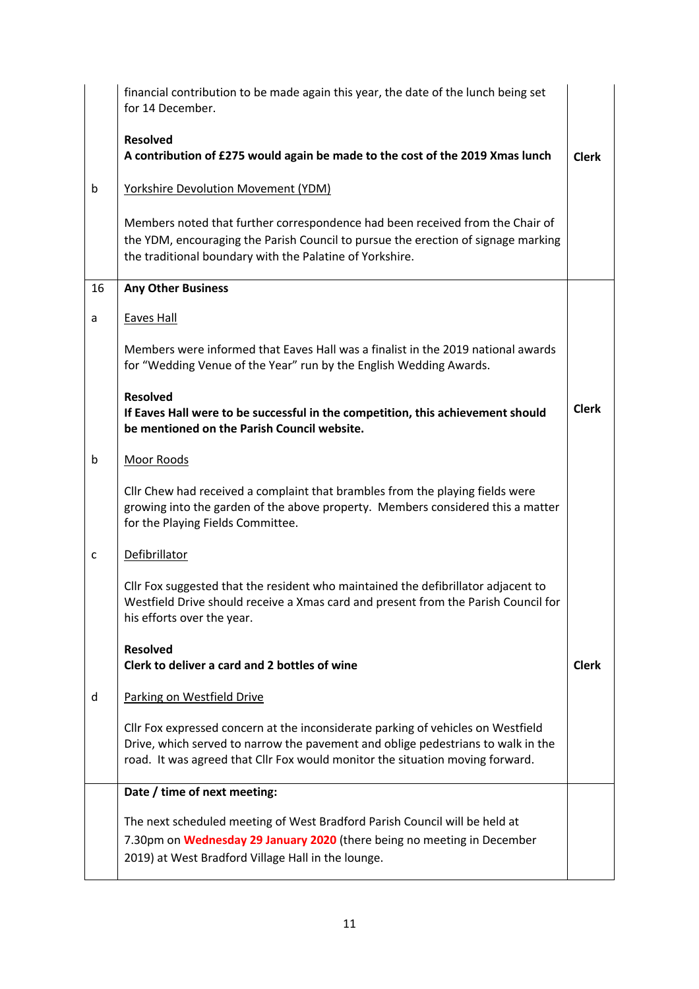|    | financial contribution to be made again this year, the date of the lunch being set<br>for 14 December.                                                                                                                                                |              |
|----|-------------------------------------------------------------------------------------------------------------------------------------------------------------------------------------------------------------------------------------------------------|--------------|
|    | <b>Resolved</b><br>A contribution of £275 would again be made to the cost of the 2019 Xmas lunch                                                                                                                                                      | <b>Clerk</b> |
| b  | <b>Yorkshire Devolution Movement (YDM)</b>                                                                                                                                                                                                            |              |
|    | Members noted that further correspondence had been received from the Chair of<br>the YDM, encouraging the Parish Council to pursue the erection of signage marking<br>the traditional boundary with the Palatine of Yorkshire.                        |              |
| 16 | <b>Any Other Business</b>                                                                                                                                                                                                                             |              |
| a  | <b>Eaves Hall</b>                                                                                                                                                                                                                                     |              |
|    | Members were informed that Eaves Hall was a finalist in the 2019 national awards<br>for "Wedding Venue of the Year" run by the English Wedding Awards.                                                                                                |              |
|    | <b>Resolved</b><br>If Eaves Hall were to be successful in the competition, this achievement should<br>be mentioned on the Parish Council website.                                                                                                     | <b>Clerk</b> |
| b  | Moor Roods                                                                                                                                                                                                                                            |              |
|    | Cllr Chew had received a complaint that brambles from the playing fields were<br>growing into the garden of the above property. Members considered this a matter<br>for the Playing Fields Committee.                                                 |              |
| c  | Defibrillator                                                                                                                                                                                                                                         |              |
|    | Cllr Fox suggested that the resident who maintained the defibrillator adjacent to<br>Westfield Drive should receive a Xmas card and present from the Parish Council for<br>his efforts over the year.                                                 |              |
|    | <b>Resolved</b><br>Clerk to deliver a card and 2 bottles of wine                                                                                                                                                                                      | <b>Clerk</b> |
| d  | Parking on Westfield Drive                                                                                                                                                                                                                            |              |
|    | Cllr Fox expressed concern at the inconsiderate parking of vehicles on Westfield<br>Drive, which served to narrow the pavement and oblige pedestrians to walk in the<br>road. It was agreed that Cllr Fox would monitor the situation moving forward. |              |
|    | Date / time of next meeting:                                                                                                                                                                                                                          |              |
|    | The next scheduled meeting of West Bradford Parish Council will be held at<br>7.30pm on Wednesday 29 January 2020 (there being no meeting in December<br>2019) at West Bradford Village Hall in the lounge.                                           |              |